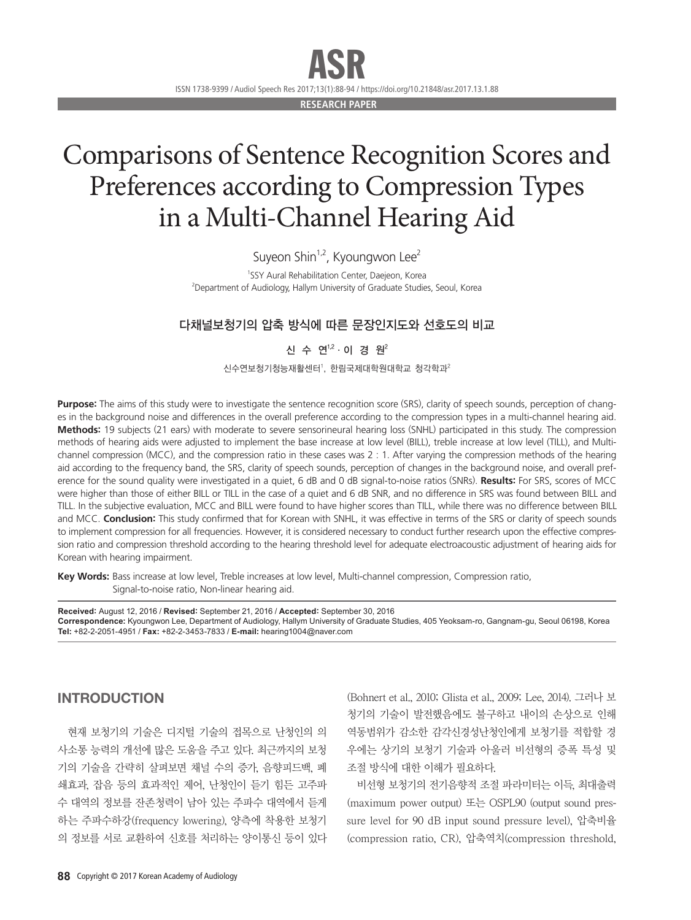ISSN 1738-9399 / Audiol Speech Res 2017;13(1):88-94 / https://doi.org/10.21848/asr.2017.13.1.88 ASR

**RESEARCH PAPER**

# Comparisons of Sentence Recognition Scores and Preferences according to Compression Types in a Multi-Channel Hearing Aid

Suyeon Shin $1,2$ , Kyoungwon Lee<sup>2</sup>

<sup>1</sup>SSY Aural Rehabilitation Center, Daejeon, Korea <sup>2</sup>Department of Audiology, Hallym University of Graduate Studies, Seoul, Korea

# 다채널보청기의 압축 방식에 따른 문장인지도와 선호도의 비교

# 신 수 연<sup>1,2</sup>·이 경 원<sup>2</sup>

 $\Delta$ 수연보청기청능재활센터', 한림국제대학원대학교 청각학과 $^2$ 

**Purpose:** The aims of this study were to investigate the sentence recognition score (SRS), clarity of speech sounds, perception of changes in the background noise and differences in the overall preference according to the compression types in a multi-channel hearing aid. **Methods:** 19 subjects (21 ears) with moderate to severe sensorineural hearing loss (SNHL) participated in this study. The compression methods of hearing aids were adjusted to implement the base increase at low level (BILL), treble increase at low level (TILL), and Multichannel compression (MCC), and the compression ratio in these cases was 2 : 1. After varying the compression methods of the hearing aid according to the frequency band, the SRS, clarity of speech sounds, perception of changes in the background noise, and overall preference for the sound quality were investigated in a quiet, 6 dB and 0 dB signal-to-noise ratios (SNRs). **Results:** For SRS, scores of MCC were higher than those of either BILL or TILL in the case of a quiet and 6 dB SNR, and no difference in SRS was found between BILL and TILL. In the subjective evaluation, MCC and BILL were found to have higher scores than TILL, while there was no difference between BILL and MCC. **Conclusion:** This study confirmed that for Korean with SNHL, it was effective in terms of the SRS or clarity of speech sounds to implement compression for all frequencies. However, it is considered necessary to conduct further research upon the effective compression ratio and compression threshold according to the hearing threshold level for adequate electroacoustic adjustment of hearing aids for Korean with hearing impairment.

Key Words: Bass increase at low level, Treble increases at low level, Multi-channel compression, Compression ratio, Signal-to-noise ratio, Non-linear hearing aid.

**Received:** August 12, 2016 / **Revised:** September 21, 2016 / **Accepted:** September 30, 2016 **Correspondence:** Kyoungwon Lee, Department of Audiology, Hallym University of Graduate Studies, 405 Yeoksam-ro, Gangnam-gu, Seoul 06198, Korea **Tel:** +82-2-2051-4951 / **Fax:** +82-2-3453-7833 / **E-mail:** hearing1004@naver.com

# INTRODUCTION

현재 보청기의 기술은 디지털 기술의 접목으로 난청인의 의 사소통 능력의 개선에 많은 도움을 주고 있다. 최근까지의 보청 기의 기술을 간략히 살펴보면 채널 수의 증가, 음향피드백, 폐 쇄효과, 잡음 등의 효과적인 제어, 난청인이 듣기 힘든 고주파 수 대역의 정보를 잔존청력이 남아 있는 주파수 대역에서 듣게 하는 주파수하강(frequency lowering), 양측에 착용한 보청기 의 정보를 서로 교환하여 신호를 처리하는 양이통신 등이 있다

(Bohnert et al., 2010; Glista et al., 2009; Lee, 2014). 그러나 보 청기의 기술이 발전했음에도 불구하고 내이의 손상으로 인해 역동범위가 감소한 감각신경성난청인에게 보청기를 적합할 경 우에는 상기의 보청기 기술과 아울러 비선형의 증폭 특성 및 조절 방식에 대한 이해가 필요하다.

비선형 보청기의 전기음향적 조절 파라미터는 이득, 최대출력 (maximum power output) 또는 OSPL90 (output sound pressure level for 90 dB input sound pressure level), 압축비율 (compression ratio, CR), 압축역치(compression threshold,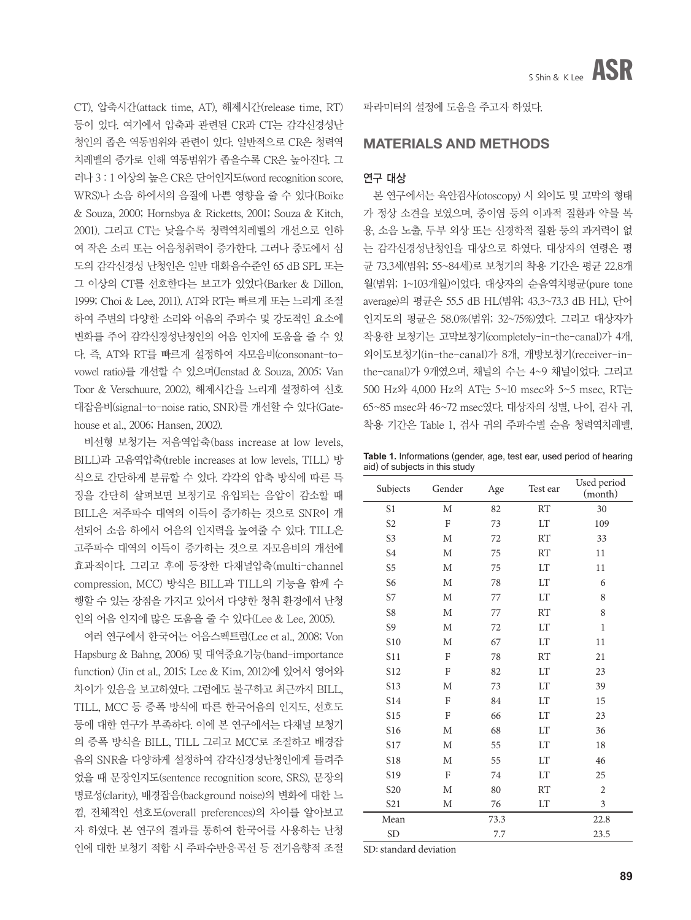CT), 압축시간(attack time, AT), 해제시간(release time, RT) 등이 있다. 여기에서 압축과 관련된 CR과 CT는 감각신경성난 청인의 좁은 역동범위와 관련이 있다. 일반적으로 CR은 청력역 치레벨의 증가로 인해 역동범위가 좁을수록 CR은 높아진다. 그 러나 3 : 1 이상의 높은 CR은 단어인지도(word recognition score, WRS)나 소음 하에서의 음질에 나쁜 영향을 줄 수 있다(Boike & Souza, 2000; Hornsbya & Ricketts, 2001; Souza & Kitch, 2001). 그리고 CT는 낮을수록 청력역치레벨의 개선으로 인하 여 작은 소리 또는 어음청취력이 증가한다. 그러나 중도에서 심 도의 감각신경성 난청인은 일반 대화음수준인 65 dB SPL 또는 그 이상의 CT를 선호한다는 보고가 있었다(Barker & Dillon, 1999; Choi & Lee, 2011). AT와 RT는 빠르게 또는 느리게 조절 하여 주변의 다양한 소리와 어음의 주파수 및 강도적인 요소에 변화를 주어 감각신경성난청인의 어음 인지에 도움을 줄 수 있 다. 즉, AT와 RT를 빠르게 설정하여 자모음비(consonant-tovowel ratio)를 개선할 수 있으며(Jenstad & Souza, 2005; Van Toor & Verschuure, 2002), 해제시간을 느리게 설정하여 신호 대잡음비(signal-to-noise ratio, SNR)를 개선할 수 있다(Gatehouse et al., 2006; Hansen, 2002).

비선형 보청기는 저음역압축(bass increase at low levels, BILL)과 고음역압축(treble increases at low levels, TILL) 방 식으로 간단하게 분류할 수 있다. 각각의 압축 방식에 따른 특 징을 간단히 살펴보면 보청기로 유입되는 음압이 감소할 때 BILL은 저주파수 대역의 이득이 증가하는 것으로 SNR이 개 선되어 소음 하에서 어음의 인지력을 높여줄 수 있다. TILL은 고주파수 대역의 이득이 증가하는 것으로 자모음비의 개선에 효과적이다. 그리고 후에 등장한 다채널압축(multi-channel compression, MCC) 방식은 BILL과 TILL의 기능을 함께 수 행할 수 있는 장점을 가지고 있어서 다양한 청취 환경에서 난청 인의 어음 인지에 많은 도움을 줄 수 있다(Lee & Lee, 2005).

여러 연구에서 한국어는 어음스펙트럼(Lee et al., 2008; Von Hapsburg & Bahng, 2006) 및 대역중요기능(band-importance function) (Jin et al., 2015; Lee & Kim, 2012)에 있어서 영어와 차이가 있음을 보고하였다. 그럼에도 불구하고 최근까지 BILL, TILL, MCC 등 증폭 방식에 따른 한국어음의 인지도, 선호도 등에 대한 연구가 부족하다. 이에 본 연구에서는 다채널 보청기 의 증폭 방식을 BILL, TILL 그리고 MCC로 조절하고 배경잡 음의 SNR을 다양하게 설정하여 감각신경성난청인에게 들려주 었을 때 문장인지도(sentence recognition score, SRS), 문장의 명료성(clarity), 배경잡음(background noise)의 변화에 대한 느 낌, 전체적인 선호도(overall preferences)의 차이를 알아보고 자 하였다. 본 연구의 결과를 통하여 한국어를 사용하는 난청 인에 대한 보청기 적합 시 주파수반응곡선 등 전기음향적 조절

파라미터의 설정에 도움을 주고자 하였다.

# MATERIALS and METHODS

### 연구 대상

본 연구에서는 육안검사(otoscopy) 시 외이도 및 고막의 형태 가 정상 소견을 보였으며, 중이염 등의 이과적 질환과 약물 복 용, 소음 노출, 두부 외상 또는 신경학적 질환 등의 과거력이 없 는 감각신경성난청인을 대상으로 하였다. 대상자의 연령은 평 균 73.3세(범위; 55~84세)로 보청기의 착용 기간은 평균 22.8개 월(범위; 1~103개월)이었다. 대상자의 순음역치평균(pure tone average)의 평균은 55.5 dB HL(범위; 43.3~73.3 dB HL), 단어 인지도의 평균은 58.0%(범위; 32~75%)였다. 그리고 대상자가 착용한 보청기는 고막보청기(completely-in-the-canal)가 4개, 외이도보청기(in-the-canal)가 8개, 개방보청기(receiver-inthe-canal)가 9개였으며, 채널의 수는 4~9 채널이었다. 그리고 500 Hz와 4,000 Hz의 AT는 5~10 msec와 5~5 msec, RT는 65~85 msec와 46~72 msec였다. 대상자의 성별, 나이, 검사 귀, 착용 기간은 Table 1, 검사 귀의 주파수별 순음 청력역치레벨,

**Table 1.** Informations (gender, age, test ear, used period of hearing aid) of subjects in this study

| Subjects        | Gender       | Age  | Test ear  | Used period<br>(month) |
|-----------------|--------------|------|-----------|------------------------|
| S <sub>1</sub>  | M            | 82   | RT        | 30                     |
| S <sub>2</sub>  | F            | 73   | <b>LT</b> | 109                    |
| S <sub>3</sub>  | M            | 72   | <b>RT</b> | 33                     |
| S <sub>4</sub>  | $\mathbf M$  | 75   | <b>RT</b> | 11                     |
| S <sub>5</sub>  | M            | 75   | <b>LT</b> | 11                     |
| S <sub>6</sub>  | M            | 78   | <b>LT</b> | 6                      |
| S7              | М            | 77   | <b>LT</b> | 8                      |
| S <sub>8</sub>  | M            | 77   | <b>RT</b> | 8                      |
| S <sub>9</sub>  | M            | 72   | <b>LT</b> | $\mathbf{1}$           |
| <b>S10</b>      | M            | 67   | LT        | 11                     |
| S <sub>11</sub> | F            | 78   | <b>RT</b> | 21                     |
| S12             | F            | 82   | LT        | 23                     |
| S <sub>13</sub> | M            | 73   | <b>LT</b> | 39                     |
| S14             | F            | 84   | LT        | 15                     |
| S <sub>15</sub> | F            | 66   | <b>LT</b> | 23                     |
| S16             | $\mathbf M$  | 68   | <b>LT</b> | 36                     |
| S17             | M            | 55   | <b>LT</b> | 18                     |
| <b>S18</b>      | M            | 55   | <b>LT</b> | 46                     |
| S19             | $\mathbf{F}$ | 74   | LT        | 25                     |
| S <sub>20</sub> | $\mathbf M$  | 80   | <b>RT</b> | $\overline{2}$         |
| S <sub>21</sub> | M            | 76   | LT        | 3                      |
| Mean            |              | 73.3 |           | 22.8                   |
| <b>SD</b>       |              | 7.7  |           | 23.5                   |

SD: standard deviation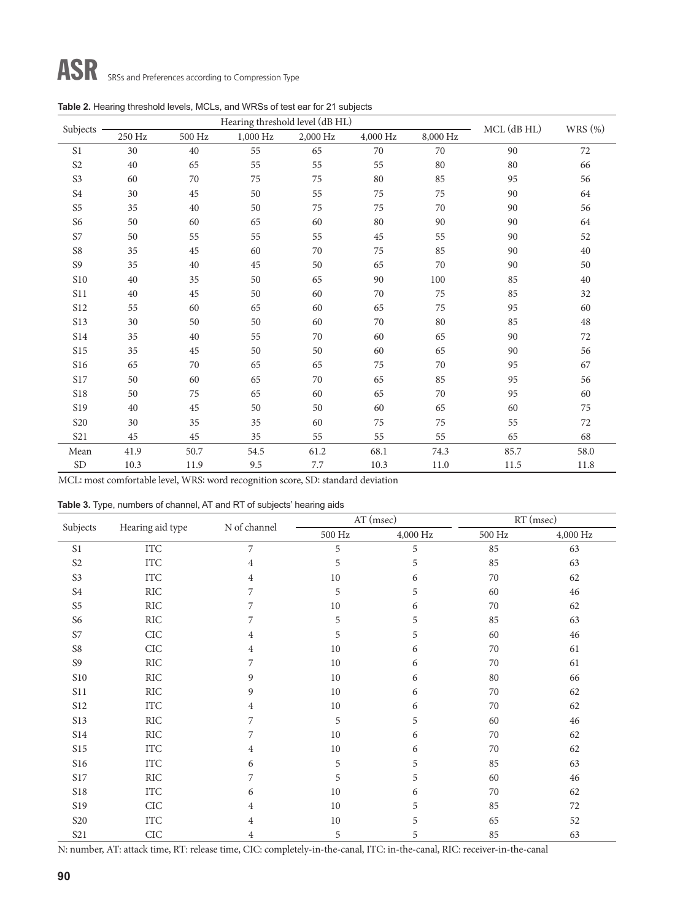|                       |        | Hearing threshold level (dB HL) | MCL (dB HL) | WRS (%)  |          |          |      |      |  |
|-----------------------|--------|---------------------------------|-------------|----------|----------|----------|------|------|--|
| Subjects              | 250 Hz | 500 Hz                          | 1,000 Hz    | 2,000 Hz | 4,000 Hz | 8,000 Hz |      |      |  |
| S <sub>1</sub>        | 30     | 40                              | 55          | 65       | 70       | 70       | 90   | 72   |  |
| S <sub>2</sub>        | 40     | 65                              | 55          | 55       | 55       | 80       | 80   | 66   |  |
| S3                    | 60     | 70                              | 75          | 75       | 80       | 85       | 95   | 56   |  |
| S <sub>4</sub>        | 30     | 45                              | 50          | 55       | 75       | 75       | 90   | 64   |  |
| S <sub>5</sub>        | 35     | 40                              | 50          | 75       | 75       | 70       | 90   | 56   |  |
| S <sub>6</sub>        | 50     | 60                              | 65          | 60       | 80       | 90       | 90   | 64   |  |
| S7                    | 50     | 55                              | 55          | 55       | 45       | 55       | 90   | 52   |  |
| S8                    | 35     | 45                              | 60          | 70       | 75       | 85       | 90   | 40   |  |
| S <sub>9</sub>        | 35     | 40                              | 45          | $50\,$   | 65       | 70       | 90   | 50   |  |
| $\sqrt{\text{S10}}$   | 40     | 35                              | 50          | 65       | 90       | 100      | 85   | 40   |  |
| S11                   | 40     | 45                              | 50          | 60       | 70       | 75       | 85   | 32   |  |
| <b>S12</b>            | 55     | 60                              | 65          | 60       | 65       | 75       | 95   | 60   |  |
| <b>S13</b>            | 30     | 50                              | 50          | 60       | 70       | 80       | 85   | 48   |  |
| <b>S14</b>            | 35     | 40                              | 55          | 70       | 60       | 65       | 90   | 72   |  |
| $\sqrt{515}$          | 35     | 45                              | 50          | 50       | 60       | 65       | 90   | 56   |  |
| <b>S16</b>            | 65     | 70                              | 65          | 65       | 75       | 70       | 95   | 67   |  |
| $\sqrt{\mathrm{S}17}$ | 50     | 60                              | 65          | 70       | 65       | 85       | 95   | 56   |  |
| <b>S18</b>            | 50     | 75                              | 65          | 60       | 65       | 70       | 95   | 60   |  |
| S19                   | 40     | 45                              | 50          | 50       | 60       | 65       | 60   | 75   |  |
| <b>S20</b>            | 30     | 35                              | 35          | 60       | 75       | 75       | 55   | 72   |  |
| S <sub>21</sub>       | 45     | 45                              | 35          | 55       | 55       | 55       | 65   | 68   |  |
| Mean                  | 41.9   | 50.7                            | 54.5        | 61.2     | 68.1     | 74.3     | 85.7 | 58.0 |  |
| <b>SD</b>             | 10.3   | 11.9                            | 9.5         | $7.7\,$  | 10.3     | 11.0     | 11.5 | 11.8 |  |

MCL: most comfortable level, WRS: word recognition score, SD: standard deviation

|  |  | Table 3. Type, numbers of channel, AT and RT of subjects' hearing aids |  |  |  |
|--|--|------------------------------------------------------------------------|--|--|--|
|--|--|------------------------------------------------------------------------|--|--|--|

| Subjects       |                  | N of channel   |                    | AT (msec) | RT (msec) |          |  |
|----------------|------------------|----------------|--------------------|-----------|-----------|----------|--|
|                | Hearing aid type |                | $500\ \mathrm{Hz}$ | 4,000 Hz  | 500 Hz    | 4,000 Hz |  |
| S1             | <b>ITC</b>       | 7              | 5                  | 5         | 85        | 63       |  |
| S <sub>2</sub> | $\rm{ITC}$       | 4              | 5                  | 5         | 85        | 63       |  |
| S <sub>3</sub> | <b>ITC</b>       | 4              | 10                 | 6         | 70        | 62       |  |
| S <sub>4</sub> | RIC              | 7              | 5                  | 5         | 60        | 46       |  |
| S <sub>5</sub> | RIC              | 7              | 10                 | 6         | 70        | 62       |  |
| S <sub>6</sub> | RIC              | 7              | 5                  | 5         | 85        | 63       |  |
| S7             | $\rm CIC$        | 4              | 5                  | 5         | 60        | 46       |  |
| S8             | CIC              | $\overline{4}$ | 10                 | 6         | 70        | 61       |  |
| S <sub>9</sub> | $\rm{RIC}$       | 7              | 10                 | 6         | 70        | 61       |  |
| $\sqrt{510}$   | RIC              | 9              | 10                 | 6         | 80        | 66       |  |
| <b>S11</b>     | RIC              | 9              | 10                 | 6         | 70        | 62       |  |
| S12            | <b>ITC</b>       | 4              | 10                 | 6         | 70        | 62       |  |
| S13            | RIC              | 7              | 5                  | 5         | 60        | 46       |  |
| <b>S14</b>     | RIC              | 7              | 10                 | 6         | 70        | 62       |  |
| <b>S15</b>     | <b>ITC</b>       | 4              | 10                 | 6         | 70        | 62       |  |
| S16            | <b>ITC</b>       | 6              | 5                  | 5         | 85        | 63       |  |
| S17            | $\rm{RIC}$       | 7              | 5                  | 5         | 60        | 46       |  |
| <b>S18</b>     | ITC              | 6              | 10                 | 6         | 70        | 62       |  |
| S19            | CIC              | 4              | 10                 | 5         | 85        | 72       |  |
| <b>S20</b>     | ITC              | 4              | 10                 | 5         | 65        | 52       |  |
| S21            | CIC              | 4              | 5                  | 5         | 85        | 63       |  |

N: number, AT: attack time, RT: release time, CIC: completely-in-the-canal, ITC: in-the-canal, RIC: receiver-in-the-canal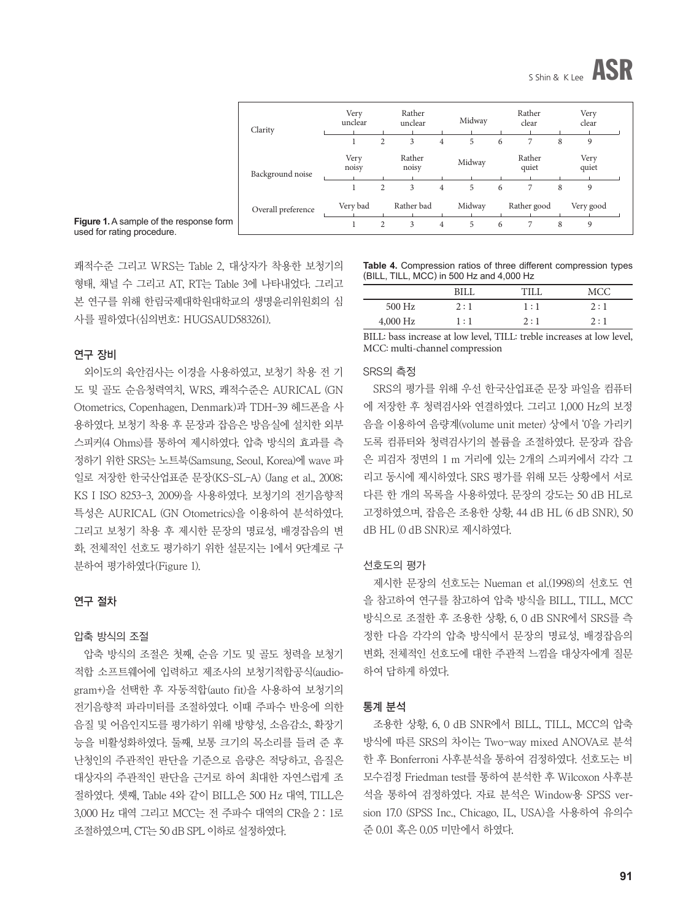

|         | Clarity            | Very<br>unclear |   | Rather<br>unclear |                | Midway |   | Rather<br>clear |   | Very<br>clear |
|---------|--------------------|-----------------|---|-------------------|----------------|--------|---|-----------------|---|---------------|
|         |                    |                 | 2 | 3                 | $\overline{4}$ | 5      | 6 | 7               | 8 | 9             |
|         | Background noise   | Very<br>noisy   |   | Rather<br>noisy   |                | Midway |   | Rather<br>quiet |   | Very<br>quiet |
|         |                    |                 | 2 | 3                 | $\overline{4}$ | 5      | 6 | 7               | 8 | 9             |
|         | Overall preference | Very bad        |   | Rather bad        |                | Midway |   | Rather good     |   | Very good     |
| se form |                    |                 | 2 | 3                 | $\overline{4}$ | 5      | 6 |                 | 8 | 9             |

**Figure 1.** A sample of the respons used for rating procedure.

쾌적수준 그리고 WRS는 Table 2, 대상자가 착용한 보청기의 형태, 채널 수 그리고 AT, RT는 Table 3에 나타내었다. 그리고 본 연구를 위해 한림국제대학원대학교의 생명윤리위원회의 심 사를 필하였다(심의번호: HUGSAUD583261).

#### 연구 장비

외이도의 육안검사는 이경을 사용하였고, 보청기 착용 전 기 도 및 골도 순음청력역치, WRS, 쾌적수준은 AURICAL (GN Otometrics, Copenhagen, Denmark)과 TDH-39 헤드폰을 사 용하였다. 보청기 착용 후 문장과 잡음은 방음실에 설치한 외부 스피커(4 Ohms)를 통하여 제시하였다. 압축 방식의 효과를 측 정하기 위한 SRS는 노트북(Samsung, Seoul, Korea)에 wave 파 일로 저장한 한국산업표준 문장(KS-SL-A) (Jang et al., 2008; KS I ISO 8253-3, 2009)을 사용하였다. 보청기의 전기음향적 특성은 AURICAL (GN Otometrics)을 이용하여 분석하였다. 그리고 보청기 착용 후 제시한 문장의 명료성, 배경잡음의 변 화, 전체적인 선호도 평가하기 위한 설문지는 1에서 9단계로 구 분하여 평가하였다(Figure 1).

#### 연구 절차

#### 압축 방식의 조절

압축 방식의 조절은 첫째, 순음 기도 및 골도 청력을 보청기 적합 소프트웨어에 입력하고 제조사의 보청기적합공식(audiogram+)을 선택한 후 자동적합(auto fit)을 사용하여 보청기의 전기음향적 파라미터를 조절하였다. 이때 주파수 반응에 의한 음질 및 어음인지도를 평가하기 위해 방향성, 소음감소, 확장기 능을 비활성화하였다. 둘째, 보통 크기의 목소리를 들려 준 후 난청인의 주관적인 판단을 기준으로 음량은 적당하고, 음질은 대상자의 주관적인 판단을 근거로 하여 최대한 자연스럽게 조 절하였다. 셋째, Table 4와 같이 BILL은 500 Hz 대역, TILL은 3,000 Hz 대역 그리고 MCC는 전 주파수 대역의 CR을 2 : 1로 조절하였으며, CT는 50 dB SPL 이하로 설정하였다.

**Table 4.** Compression ratios of three different compression types (BILL, TILL, MCC) in 500 Hz and 4,000 Hz

|            | RII 1 | - CTT T | MCC |
|------------|-------|---------|-----|
| 500 Hz     | 2:1   | 1 : 1   | 2:1 |
| $4,000$ Hz | 1:1   | 2:1     | 2:1 |

BILL: bass increase at low level, TILL: treble increases at low level, MCC: multi-channel compression

#### SRS의 측정

SRS의 평가를 위해 우선 한국산업표준 문장 파일을 컴퓨터 에 저장한 후 청력검사와 연결하였다. 그리고 1,000 Hz의 보정 음을 이용하여 음량계(volume unit meter) 상에서 '0'을 가리키 도록 컴퓨터와 청력검사기의 볼륨을 조절하였다. 문장과 잡음 은 피검자 정면의 1 m 거리에 있는 2개의 스피커에서 각각 그 리고 동시에 제시하였다. SRS 평가를 위해 모든 상황에서 서로 다른 한 개의 목록을 사용하였다. 문장의 강도는 50 dB HL로 고정하였으며, 잡음은 조용한 상황, 44 dB HL (6 dB SNR), 50 dB HL (0 dB SNR)로 제시하였다.

#### 선호도의 평가

제시한 문장의 선호도는 Nueman et al.(1998)의 선호도 연 을 참고하여 연구를 참고하여 압축 방식을 BILL, TILL, MCC 방식으로 조절한 후 조용한 상황, 6, 0 dB SNR에서 SRS를 측 정한 다음 각각의 압축 방식에서 문장의 명료성, 배경잡음의 변화, 전체적인 선호도에 대한 주관적 느낌을 대상자에게 질문 하여 답하게 하였다.

#### 통계 분석

조용한 상황, 6, 0 dB SNR에서 BILL, TILL, MCC의 압축 방식에 따른 SRS의 차이는 Two-way mixed ANOVA로 분석 한 후 Bonferroni 사후분석을 통하여 검정하였다. 선호도는 비 모수검정 Friedman test를 통하여 분석한 후 Wilcoxon 사후분 석을 통하여 검정하였다. 자료 분석은 Window용 SPSS version 17.0 (SPSS Inc., Chicago, IL, USA)을 사용하여 유의수 준 0.01 혹은 0.05 미만에서 하였다.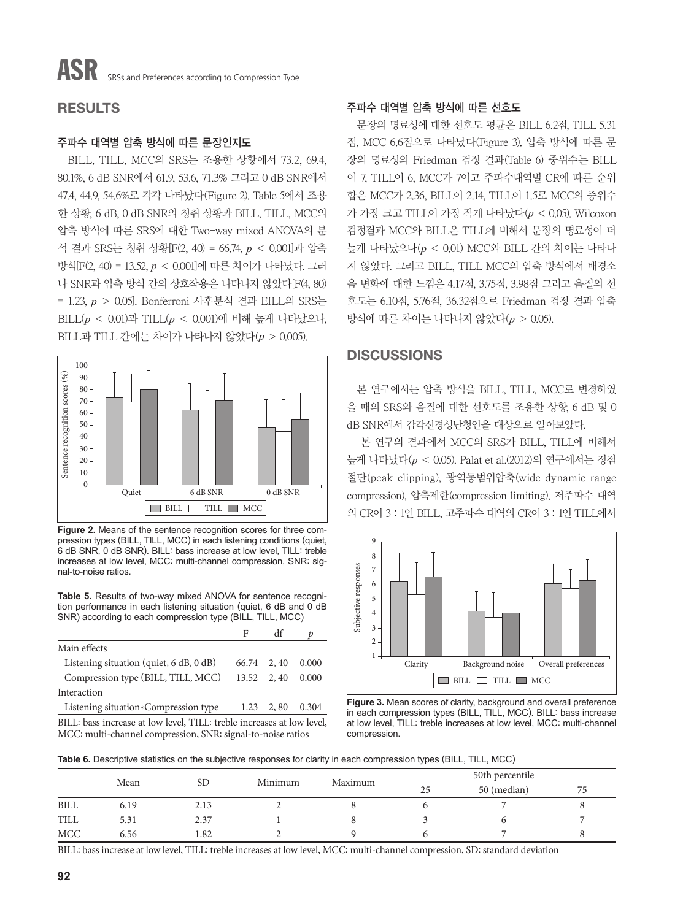# RESULTS

# 주파수 대역별 압축 방식에 따른 문장인지도

BILL, TILL, MCC의 SRS는 조용한 상황에서 73.2, 69.4, 80.1%, 6 dB SNR에서 61.9, 53.6, 71.3% 그리고 0 dB SNR에서 47.4, 44.9, 54.6%로 각각 나타났다(Figure 2). Table 5에서 조용 한 상황, 6 dB, 0 dB SNR의 청취 상황과 BILL, TILL, MCC의 압축 방식에 따른 SRS에 대한 Two-way mixed ANOVA의 분 석 결과 SRS는 청취 상황[F(2, 40) = 66.74, *p* < 0.001]과 압축 방식[F(2, 40) = 13.52, *p* < 0.001]에 따른 차이가 나타났다. 그러 나 SNR과 압축 방식 간의 상호작용은 나타나지 않았다[F(4, 80) = 1.23, *p* > 0.05]. Bonferroni 사후분석 결과 EILL의 SRS는 BILL(*p* < 0.01)과 TILL(*p* < 0.001)에 비해 높게 나타났으나, BILL과 TILL 간에는 차이가 나타나지 않았다(*p* > 0.005).



**Figure 2.** Means of the sentence recognition scores for three compression types (BILL, TILL, MCC) in each listening conditions (quiet, 6 dB SNR, 0 dB SNR). BILL: bass increase at low level, TILL: treble increases at low level, MCC: multi-channel compression, SNR: signal-to-noise ratios.

**Table 5.** Results of two-way mixed ANOVA for sentence recognition performance in each listening situation (quiet, 6 dB and 0 dB SNR) according to each compression type (BILL, TILL, MCC)

| Main effects                                                          |             |      |       |
|-----------------------------------------------------------------------|-------------|------|-------|
| Listening situation (quiet, $6 dB$ , $0 dB$ )                         | 66.74 2, 40 |      | 0.000 |
| Compression type (BILL, TILL, MCC)                                    | 13.52 2, 40 |      | 0.000 |
| Interaction                                                           |             |      |       |
| Listening situation*Compression type                                  | 1.23        | 2,80 | 0.304 |
| DILL, here increase at low lovel. THI, trubble increases at low lovel |             |      |       |

BILL: bass increase at low level, TILL: treble increases at low level, MCC: multi-channel compression, SNR: signal-to-noise ratios

# 주파수 대역별 압축 방식에 따른 선호도

문장의 명료성에 대한 선호도 평균은 BILL 6.2점, TILL 5.31 점, MCC 6.6점으로 나타났다(Figure 3). 압축 방식에 따른 문 장의 명료성의 Friedman 검정 결과(Table 6) 중위수는 BILL 이 7, TILL이 6, MCC가 7이고 주파수대역별 CR에 따른 순위 합은 MCC가 2.36, BILL이 2.14, TILL이 1.5로 MCC의 중위수 가 가장 크고 TILL이 가장 작게 나타났다(*p* < 0.05). Wilcoxon 검정결과 MCC와 BILL은 TILL에 비해서 문장의 명료성이 더 높게 나타났으나(*p* < 0.01) MCC와 BILL 간의 차이는 나타나 지 않았다. 그리고 BILL, TILL MCC의 압축 방식에서 배경소 음 변화에 대한 느낌은 4.17점, 3.75점, 3.98점 그리고 음질의 선 호도는 6.10점, 5.76점, 36.32점으로 Friedman 검정 결과 압축 방식에 따른 차이는 나타나지 않았다(*p* > 0.05).

# **DISCUSSIONS**

본 연구에서는 압축 방식을 BILL, TILL, MCC로 변경하였 을 때의 SRS와 음질에 대한 선호도를 조용한 상황, 6 dB 및 0 dB SNR에서 감각신경성난청인을 대상으로 알아보았다.

본 연구의 결과에서 MCC의 SRS가 BILL, TILL에 비해서 높게 나타났다(*p* < 0.05). Palat et al.(2012)의 연구에서는 정점 절단(peak clipping), 광역동범위압축(wide dynamic range compression), 압축제한(compression limiting), 저주파수 대역 의 CR이 3 : 1인 BILL, 고주파수 대역의 CR이 3 : 1인 TILL에서



**Figure 3.** Mean scores of clarity, background and overall preference in each compression types (BILL, TILL, MCC). BILL: bass increase at low level, TILL: treble increases at low level, MCC: multi-channel compression.

**Table 6.** Descriptive statistics on the subjective responses for clarity in each compression types (BILL, TILL, MCC)

|             | Mean |      |         | Maximum | 50th percentile |             |    |  |
|-------------|------|------|---------|---------|-----------------|-------------|----|--|
|             |      | SD   | Minimum |         | 25              | 50 (median) | 75 |  |
| <b>BILL</b> | 6.19 | 2.13 |         |         |                 |             |    |  |
| <b>TILL</b> | 5.31 | 2.37 |         |         |                 |             |    |  |
| <b>MCC</b>  | 6.56 | .82  |         |         |                 |             |    |  |

BILL: bass increase at low level, TILL: treble increases at low level, MCC: multi-channel compression, SD: standard deviation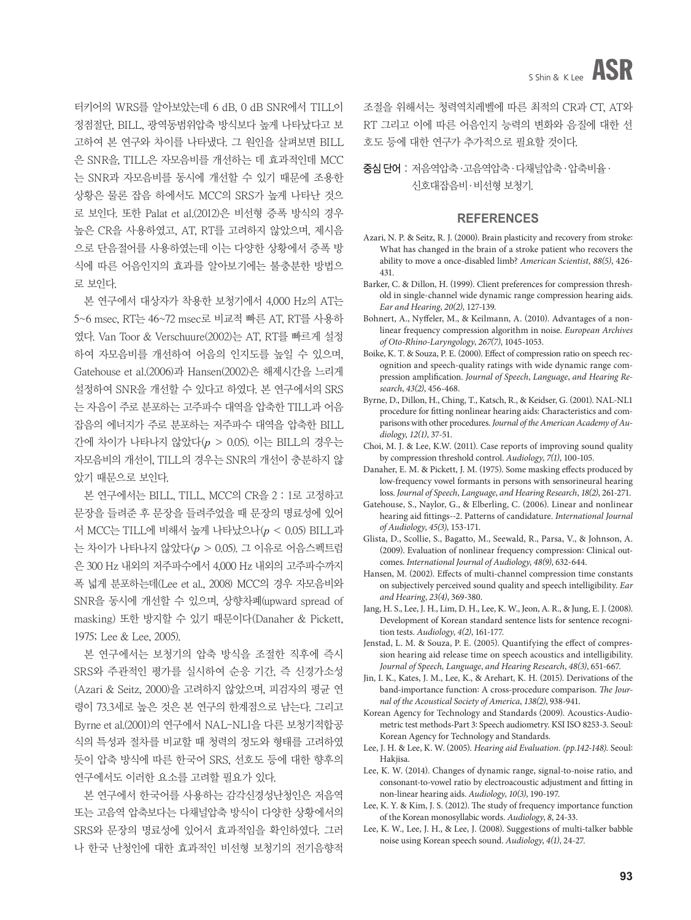터키어의 WRS를 알아보았는데 6 dB, 0 dB SNR에서 TILL이 정점절단, BILL, 광역동범위압축 방식보다 높게 나타났다고 보 고하여 본 연구와 차이를 나타냈다. 그 원인을 살펴보면 BILL 은 SNR을, TILL은 자모음비를 개선하는 데 효과적인데 MCC 는 SNR과 자모음비를 동시에 개선할 수 있기 때문에 조용한 상황은 물론 잡음 하에서도 MCC의 SRS가 높게 나타난 것으 로 보인다. 또한 Palat et al.(2012)은 비선형 증폭 방식의 경우 높은 CR을 사용하였고, AT, RT를 고려하지 않았으며, 제시음 으로 단음절어를 사용하였는데 이는 다양한 상황에서 증폭 방 식에 따른 어음인지의 효과를 알아보기에는 불충분한 방법으 로 보인다.

본 연구에서 대상자가 착용한 보청기에서 4,000 Hz의 AT는 5~6 msec, RT는 46~72 msec로 비교적 빠른 AT, RT를 사용하 였다. Van Toor & Verschuure(2002)는 AT, RT를 빠르게 설정 하여 자모음비를 개선하여 어음의 인지도를 높일 수 있으며, Gatehouse et al.(2006)과 Hansen(2002)은 해제시간을 느리게 설정하여 SNR을 개선할 수 있다고 하였다. 본 연구에서의 SRS 는 자음이 주로 분포하는 고주파수 대역을 압축한 TILL과 어음 잡음의 에너지가 주로 분포하는 저주파수 대역을 압축한 BILL 간에 차이가 나타나지 않았다(*p* > 0.05). 이는 BILL의 경우는 자모음비의 개선이, TILL의 경우는 SNR의 개선이 충분하지 않 았기 때문으로 보인다.

본 연구에서는 BILL, TILL, MCC의 CR을 2 : 1로 고정하고 문장을 들려준 후 문장을 들려주었을 때 문장의 명료성에 있어 서 MCC는 TILL에 비해서 높게 나타났으나(*p* < 0.05) BILL과 는 차이가 나타나지 않았다(*p* > 0.05). 그 이유로 어음스펙트럼 은 300 Hz 내외의 저주파수에서 4,000 Hz 내외의 고주파수까지 폭 넓게 분포하는데(Lee et al., 2008) MCC의 경우 자모음비와 SNR을 동시에 개선할 수 있으며, 상향차폐(upward spread of masking) 또한 방지할 수 있기 때문이다(Danaher & Pickett, 1975; Lee & Lee, 2005).

본 연구에서는 보청기의 압축 방식을 조절한 직후에 즉시 SRS와 주관적인 평가를 실시하여 순응 기간, 즉 신경가소성 (Azari & Seitz, 2000)을 고려하지 않았으며, 피검자의 평균 연 령이 73.3세로 높은 것은 본 연구의 한계점으로 남는다. 그리고 Byrne et al.(2001)의 연구에서 NAL-NL1을 다른 보청기적합공 식의 특성과 절차를 비교할 때 청력의 정도와 형태를 고려하였 듯이 압축 방식에 따른 한국어 SRS, 선호도 등에 대한 향후의 연구에서도 이러한 요소를 고려할 필요가 있다.

본 연구에서 한국어를 사용하는 감각신경성난청인은 저음역 또는 고음역 압축보다는 다채널압축 방식이 다양한 상황에서의 SRS와 문장의 명료성에 있어서 효과적임을 확인하였다. 그러 나 한국 난청인에 대한 효과적인 비선형 보청기의 전기음향적

조절을 위해서는 청력역치레벨에 따른 최적의 CR과 CT, AT와 RT 그리고 이에 따른 어음인지 능력의 변화와 음질에 대한 선 호도 등에 대한 연구가 추가적으로 필요할 것이다.

중심 단어 : 저음역압축·고음역압축·다채널압축·압축비율· 신호대잡음비·비선형 보청기.

#### **REFERENCES**

- Azari, N. P. & Seitz, R. J. (2000). Brain plasticity and recovery from stroke: What has changed in the brain of a stroke patient who recovers the ability to move a once-disabled limb? *American Scientist*, *88(5)*, 426- 431.
- Barker, C. & Dillon, H. (1999). Client preferences for compression threshold in single-channel wide dynamic range compression hearing aids. *Ear and Hearing*, *20(2)*, 127-139.
- Bohnert, A., Nyffeler, M., & Keilmann, A. (2010). Advantages of a nonlinear frequency compression algorithm in noise. *European Archives of Oto-Rhino-Laryngology*, *267(7)*, 1045-1053.
- Boike, K. T. & Souza, P. E. (2000). Effect of compression ratio on speech recognition and speech-quality ratings with wide dynamic range compression amplification. *Journal of Speech*, *Language*, *and Hearing Research*, *43(2)*, 456-468.
- Byrne, D., Dillon, H., Ching, T., Katsch, R., & Keidser, G. (2001). NAL-NL1 procedure for fitting nonlinear hearing aids: Characteristics and comparisons with other procedures. *Journal of the American Academy of Audiology*, *12(1)*, 37-51.
- Choi, M. J. & Lee, K.W. (2011). Case reports of improving sound quality by compression threshold control. *Audiology*, *7(1)*, 100-105.
- Danaher, E. M. & Pickett, J. M. (1975). Some masking effects produced by low-frequency vowel formants in persons with sensorineural hearing loss. *Journal of Speech*, *Language*, *and Hearing Research*, *18(2)*, 261-271.
- Gatehouse, S., Naylor, G., & Elberling, C. (2006). Linear and nonlinear hearing aid fittings--2. Patterns of candidature. *International Journal of Audiology*, *45(3)*, 153-171.
- Glista, D., Scollie, S., Bagatto, M., Seewald, R., Parsa, V., & Johnson, A. (2009). Evaluation of nonlinear frequency compression: Clinical outcomes. *International Journal of Audiology*, *48(9)*, 632-644.
- Hansen, M. (2002). Effects of multi-channel compression time constants on subjectively perceived sound quality and speech intelligibility. *Ear and Hearing*, *23(4)*, 369-380.
- Jang, H. S., Lee, J. H., Lim, D. H., Lee, K. W., Jeon, A. R., & Jung, E. J. (2008). Development of Korean standard sentence lists for sentence recognition tests. *Audiology*, *4(2)*, 161-177.
- Jenstad, L. M. & Souza, P. E. (2005). Quantifying the effect of compression hearing aid release time on speech acoustics and intelligibility. *Journal of Speech, Language*, *and Hearing Research*, *48(3)*, 651-667.
- Jin, I. K., Kates, J. M., Lee, K., & Arehart, K. H. (2015). Derivations of the band-importance function: A cross-procedure comparison. *The Journal of the Acoustical Society of America*, *138(2)*, 938-941.
- Korean Agency for Technology and Standards (2009). Acoustics-Audiometric test methods-Part 3: Speech audiometry. KSI ISO 8253-3. Seoul: Korean Agency for Technology and Standards.
- Lee, J. H. & Lee, K. W. (2005). *Hearing aid Evaluation. (pp.142-148).* Seoul: Hakjisa.
- Lee, K. W. (2014). Changes of dynamic range, signal-to-noise ratio, and consonant-to-vowel ratio by electroacoustic adjustment and fitting in non-linear hearing aids. *Audiology*, *10(3)*, 190-197.
- Lee, K. Y. & Kim, J. S. (2012). The study of frequency importance function of the Korean monosyllabic words. *Audiology*, *8*, 24-33.
- Lee, K. W., Lee, J. H., & Lee, J. (2008). Suggestions of multi-talker babble noise using Korean speech sound. *Audiology*, *4(1)*, 24-27.